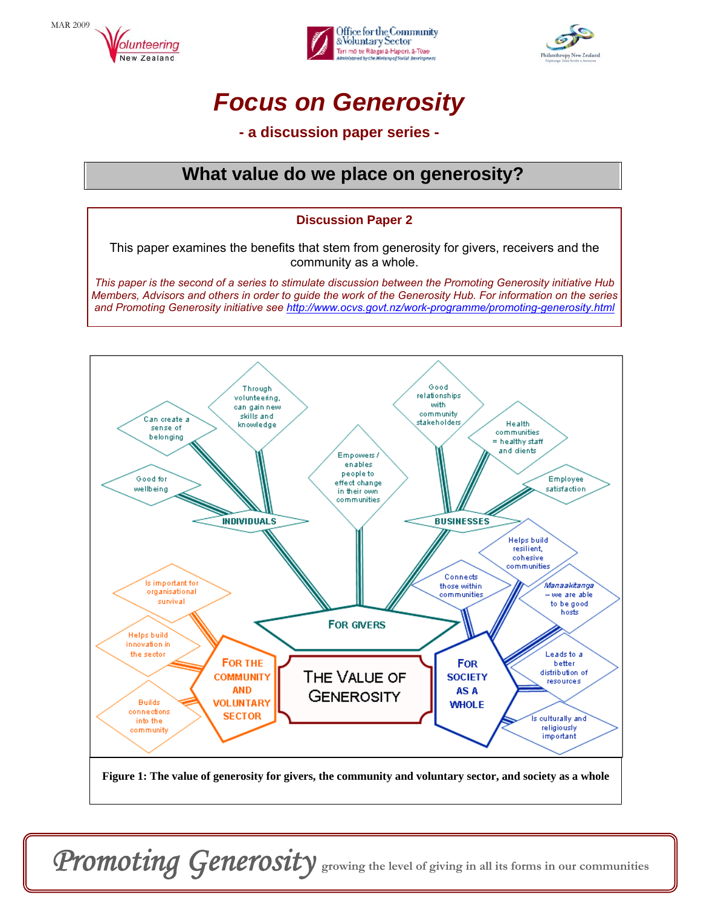





# *Focus on Generosity*

**- a discussion paper series -**

## **What value do we place on generosity?**

### **Discussion Paper 2**

This paper examines the benefits that stem from generosity for givers, receivers and the community as a whole.

*This paper is the second of a series to stimulate discussion between the Promoting Generosity initiative Hub Members, Advisors and others in order to guide the work of the Generosity Hub. For information on the series and Promoting Generosity initiative see http://www.ocvs.govt.nz/work-programme/promoting-generosity.html*



Promoting Generosity growing the level of giving in all its forms in our communities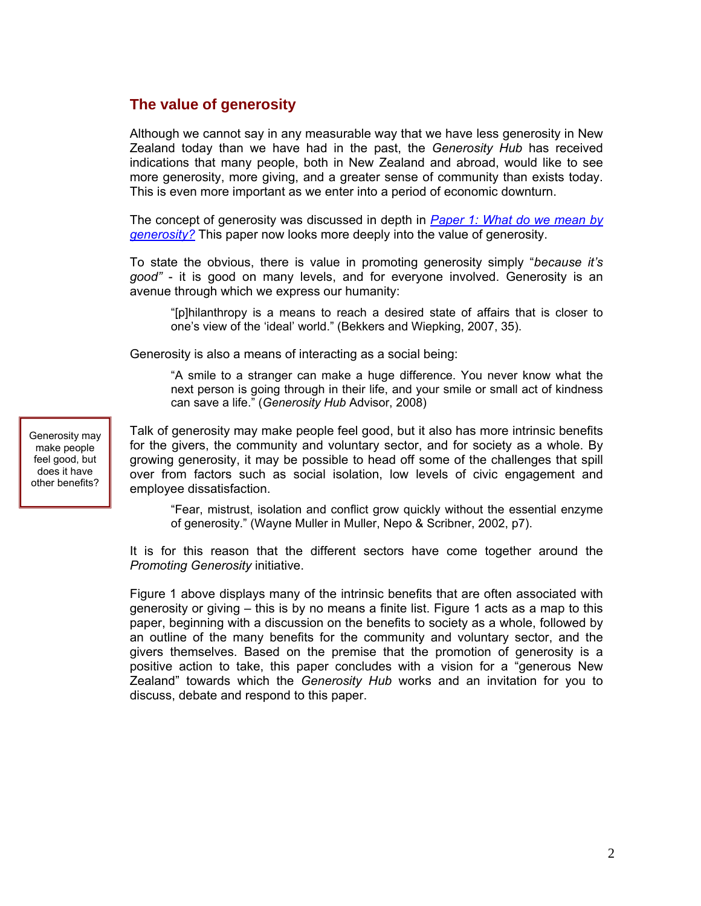### **The value of generosity**

Although we cannot say in any measurable way that we have less generosity in New Zealand today than we have had in the past, the *Generosity Hub* has received indications that many people, both in New Zealand and abroad, would like to see more generosity, more giving, and a greater sense of community than exists today. This is even more important as we enter into a period of economic downturn.

The concept of generosity was discussed in depth in *Paper 1: What do we mean by generosity?* This paper now looks more deeply into the value of generosity.

To state the obvious, there is value in promoting generosity simply "*because it's good"* - it is good on many levels, and for everyone involved. Generosity is an avenue through which we express our humanity:

"[p]hilanthropy is a means to reach a desired state of affairs that is closer to one's view of the 'ideal' world." (Bekkers and Wiepking, 2007, 35).

Generosity is also a means of interacting as a social being:

"A smile to a stranger can make a huge difference. You never know what the next person is going through in their life, and your smile or small act of kindness can save a life." (*Generosity Hub* Advisor, 2008)

Generosity may make people feel good, but does it have other benefits?

Talk of generosity may make people feel good, but it also has more intrinsic benefits for the givers, the community and voluntary sector, and for society as a whole. By growing generosity, it may be possible to head off some of the challenges that spill over from factors such as social isolation, low levels of civic engagement and employee dissatisfaction.

"Fear, mistrust, isolation and conflict grow quickly without the essential enzyme of generosity." (Wayne Muller in Muller, Nepo & Scribner, 2002, p7).

It is for this reason that the different sectors have come together around the *Promoting Generosity* initiative.

Figure 1 above displays many of the intrinsic benefits that are often associated with generosity or giving – this is by no means a finite list. Figure 1 acts as a map to this paper, beginning with a discussion on the benefits to society as a whole, followed by an outline of the many benefits for the community and voluntary sector, and the givers themselves. Based on the premise that the promotion of generosity is a positive action to take, this paper concludes with a vision for a "generous New Zealand" towards which the *Generosity Hub* works and an invitation for you to discuss, debate and respond to this paper.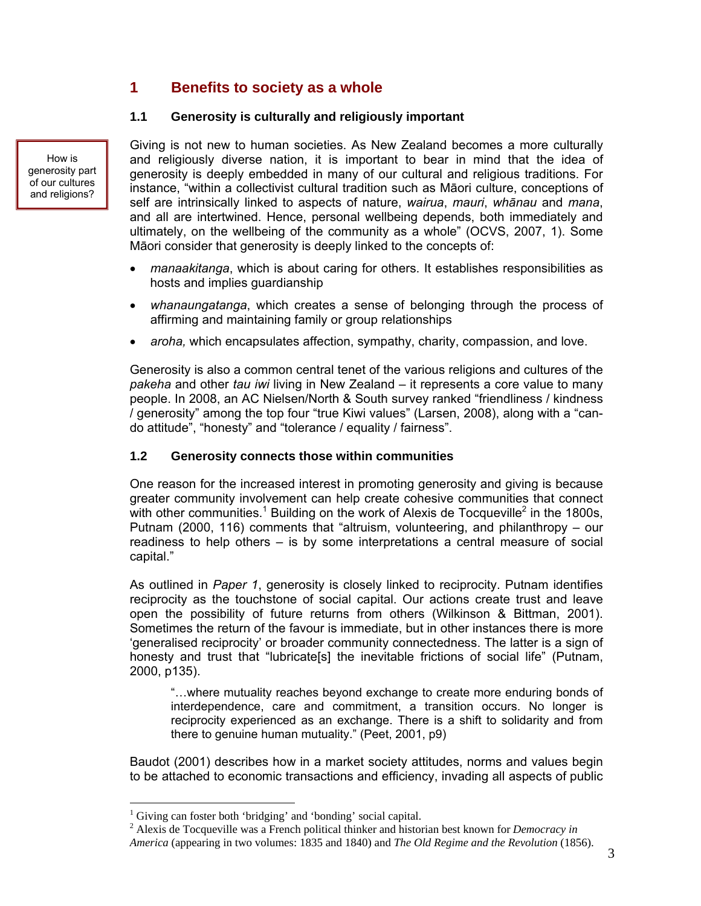### **1 Benefits to society as a whole**

### **1.1 Generosity is culturally and religiously important**

How is generosity part of our cultures and religions?

Giving is not new to human societies. As New Zealand becomes a more culturally and religiously diverse nation, it is important to bear in mind that the idea of generosity is deeply embedded in many of our cultural and religious traditions. For instance, "within a collectivist cultural tradition such as Māori culture, conceptions of self are intrinsically linked to aspects of nature, *wairua*, *mauri*, *whānau* and *mana*, and all are intertwined. Hence, personal wellbeing depends, both immediately and ultimately, on the wellbeing of the community as a whole" (OCVS, 2007, 1). Some Māori consider that generosity is deeply linked to the concepts of:

- *manaakitanga*, which is about caring for others. It establishes responsibilities as hosts and implies guardianship
- *whanaungatanga*, which creates a sense of belonging through the process of affirming and maintaining family or group relationships
- *aroha,* which encapsulates affection, sympathy, charity, compassion, and love.

Generosity is also a common central tenet of the various religions and cultures of the *pakeha* and other *tau iwi* living in New Zealand – it represents a core value to many people. In 2008, an AC Nielsen/North & South survey ranked "friendliness / kindness / generosity" among the top four "true Kiwi values" (Larsen, 2008), along with a "cando attitude", "honesty" and "tolerance / equality / fairness".

### **1.2 Generosity connects those within communities**

One reason for the increased interest in promoting generosity and giving is because greater community involvement can help create cohesive communities that connect with other communities.<sup>1</sup> Building on the work of Alexis de Tocqueville<sup>2</sup> in the 1800s, Putnam (2000, 116) comments that "altruism, volunteering, and philanthropy – our readiness to help others – is by some interpretations a central measure of social capital."

As outlined in *Paper 1*, generosity is closely linked to reciprocity. Putnam identifies reciprocity as the touchstone of social capital. Our actions create trust and leave open the possibility of future returns from others (Wilkinson & Bittman, 2001). Sometimes the return of the favour is immediate, but in other instances there is more 'generalised reciprocity' or broader community connectedness. The latter is a sign of honesty and trust that "lubricate[s] the inevitable frictions of social life" (Putnam, 2000, p135).

"…where mutuality reaches beyond exchange to create more enduring bonds of interdependence, care and commitment, a transition occurs. No longer is reciprocity experienced as an exchange. There is a shift to solidarity and from there to genuine human mutuality." (Peet, 2001, p9)

Baudot (2001) describes how in a market society attitudes, norms and values begin to be attached to economic transactions and efficiency, invading all aspects of public

 $\overline{a}$ 

<sup>&</sup>lt;sup>1</sup> Giving can foster both 'bridging' and 'bonding' social capital.

<sup>2</sup> Alexis de Tocqueville was a French political thinker and historian best known for *Democracy in*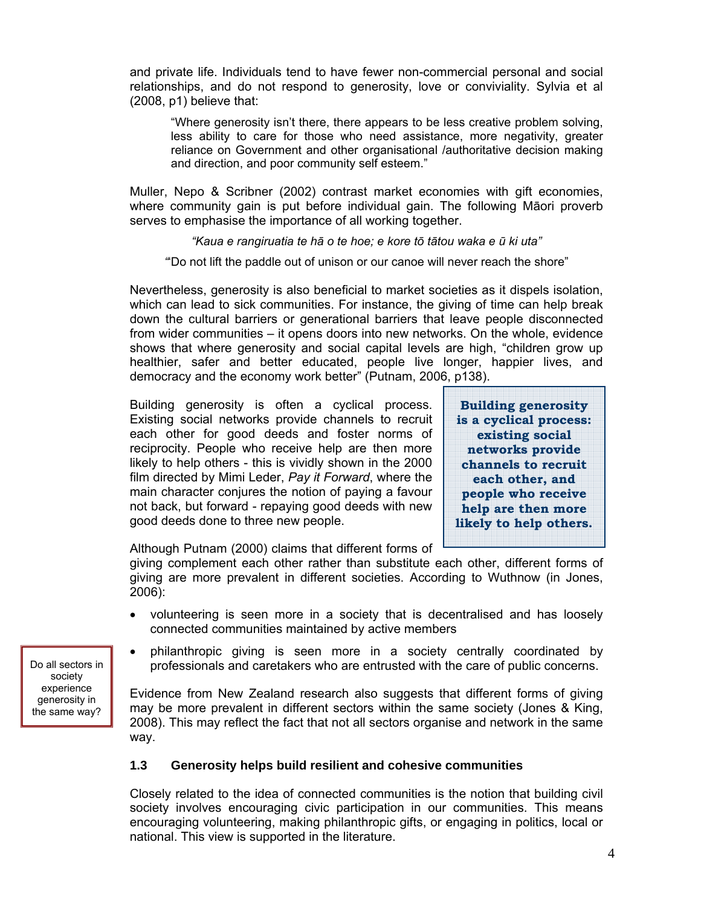and private life. Individuals tend to have fewer non-commercial personal and social relationships, and do not respond to generosity, love or conviviality. Sylvia et al (2008, p1) believe that:

"Where generosity isn't there, there appears to be less creative problem solving, less ability to care for those who need assistance, more negativity, greater reliance on Government and other organisational /authoritative decision making and direction, and poor community self esteem."

Muller, Nepo & Scribner (2002) contrast market economies with gift economies, where community gain is put before individual gain. The following Māori proverb serves to emphasise the importance of all working together.

*"Kaua e rangiruatia te hā o te hoe; e kore tō tātou waka e ū ki uta"* 

*"*'Do not lift the paddle out of unison or our canoe will never reach the shore"

Nevertheless, generosity is also beneficial to market societies as it dispels isolation, which can lead to sick communities. For instance, the giving of time can help break down the cultural barriers or generational barriers that leave people disconnected from wider communities – it opens doors into new networks. On the whole, evidence shows that where generosity and social capital levels are high, "children grow up healthier, safer and better educated, people live longer, happier lives, and democracy and the economy work better" (Putnam, 2006, p138).

Building generosity is often a cyclical process. Existing social networks provide channels to recruit each other for good deeds and foster norms of reciprocity. People who receive help are then more likely to help others - this is vividly shown in the 2000 film directed by Mimi Leder, *Pay it Forward*, where the main character conjures the notion of paying a favour not back, but forward - repaying good deeds with new good deeds done to three new people.



Although Putnam (2000) claims that different forms of

giving complement each other rather than substitute each other, different forms of giving are more prevalent in different societies. According to Wuthnow (in Jones, 2006):

- volunteering is seen more in a society that is decentralised and has loosely connected communities maintained by active members
- philanthropic giving is seen more in a society centrally coordinated by professionals and caretakers who are entrusted with the care of public concerns.

Evidence from New Zealand research also suggests that different forms of giving may be more prevalent in different sectors within the same society (Jones & King, 2008). This may reflect the fact that not all sectors organise and network in the same way.

### **1.3 Generosity helps build resilient and cohesive communities**

Closely related to the idea of connected communities is the notion that building civil society involves encouraging civic participation in our communities. This means encouraging volunteering, making philanthropic gifts, or engaging in politics, local or national. This view is supported in the literature.

Do all sectors in society experience generosity in the same way?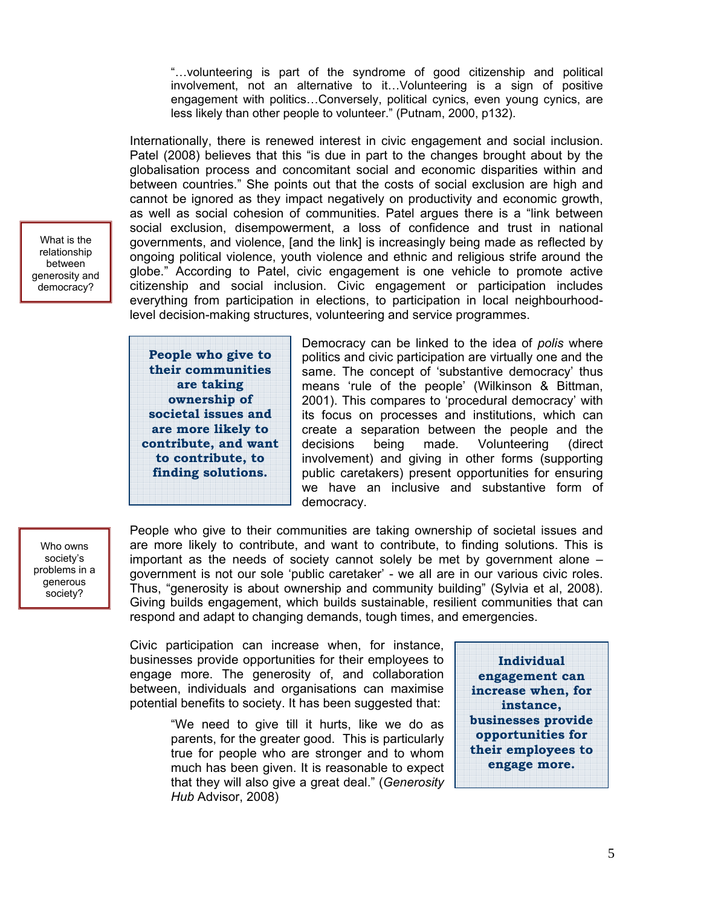"…volunteering is part of the syndrome of good citizenship and political involvement, not an alternative to it…Volunteering is a sign of positive engagement with politics…Conversely, political cynics, even young cynics, are less likely than other people to volunteer." (Putnam, 2000, p132).

Internationally, there is renewed interest in civic engagement and social inclusion. Patel (2008) believes that this "is due in part to the changes brought about by the globalisation process and concomitant social and economic disparities within and between countries." She points out that the costs of social exclusion are high and cannot be ignored as they impact negatively on productivity and economic growth, as well as social cohesion of communities. Patel argues there is a "link between social exclusion, disempowerment, a loss of confidence and trust in national governments, and violence, [and the link] is increasingly being made as reflected by ongoing political violence, youth violence and ethnic and religious strife around the globe." According to Patel, civic engagement is one vehicle to promote active citizenship and social inclusion. Civic engagement or participation includes everything from participation in elections, to participation in local neighbourhoodlevel decision-making structures, volunteering and service programmes.



Democracy can be linked to the idea of *polis* where politics and civic participation are virtually one and the same. The concept of 'substantive democracy' thus means 'rule of the people' (Wilkinson & Bittman, 2001). This compares to 'procedural democracy' with its focus on processes and institutions, which can create a separation between the people and the decisions being made. Volunteering (direct involvement) and giving in other forms (supporting public caretakers) present opportunities for ensuring we have an inclusive and substantive form of democracy.

Who owns society's problems in a generous society?

What is the relationship between generosity and democracy?

> People who give to their communities are taking ownership of societal issues and are more likely to contribute, and want to contribute, to finding solutions. This is important as the needs of society cannot solely be met by government alone – government is not our sole 'public caretaker' - we all are in our various civic roles. Thus, "generosity is about ownership and community building" (Sylvia et al, 2008). Giving builds engagement, which builds sustainable, resilient communities that can respond and adapt to changing demands, tough times, and emergencies.

Civic participation can increase when, for instance, businesses provide opportunities for their employees to engage more. The generosity of, and collaboration between, individuals and organisations can maximise potential benefits to society. It has been suggested that:

> "We need to give till it hurts, like we do as parents, for the greater good. This is particularly true for people who are stronger and to whom much has been given. It is reasonable to expect that they will also give a great deal." (*Generosity Hub* Advisor, 2008)

**Individual engagement can increase when, for instance, businesses provide opportunities for their employees to engage more.**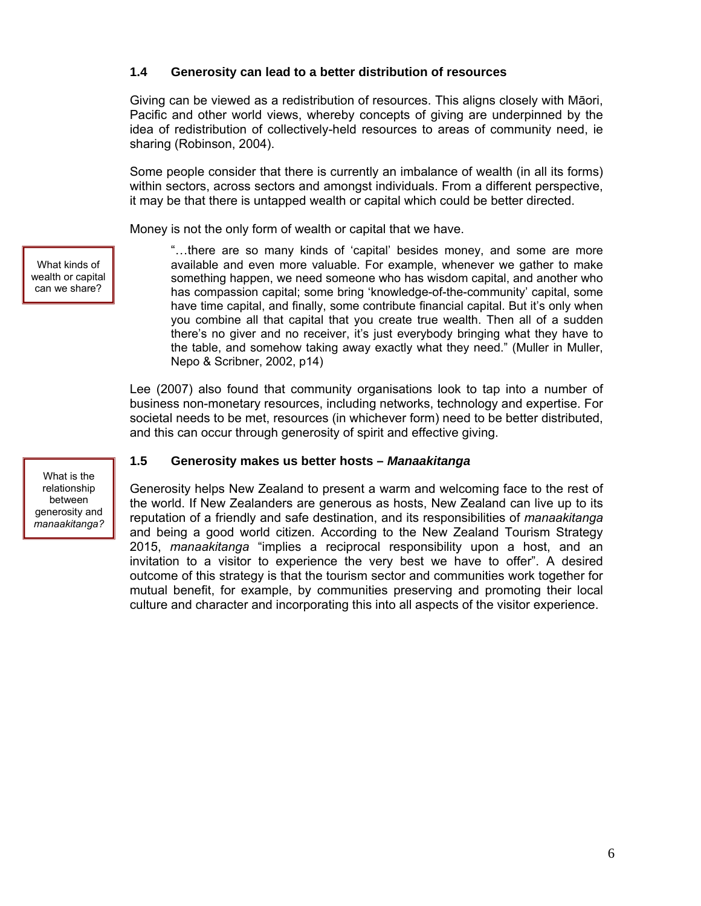### **1.4 Generosity can lead to a better distribution of resources**

Giving can be viewed as a redistribution of resources. This aligns closely with Māori, Pacific and other world views, whereby concepts of giving are underpinned by the idea of redistribution of collectively-held resources to areas of community need, ie sharing (Robinson, 2004).

Some people consider that there is currently an imbalance of wealth (in all its forms) within sectors, across sectors and amongst individuals. From a different perspective, it may be that there is untapped wealth or capital which could be better directed.

Money is not the only form of wealth or capital that we have.

"…there are so many kinds of 'capital' besides money, and some are more available and even more valuable. For example, whenever we gather to make something happen, we need someone who has wisdom capital, and another who has compassion capital; some bring 'knowledge-of-the-community' capital, some have time capital, and finally, some contribute financial capital. But it's only when you combine all that capital that you create true wealth. Then all of a sudden there's no giver and no receiver, it's just everybody bringing what they have to the table, and somehow taking away exactly what they need." (Muller in Muller, Nepo & Scribner, 2002, p14)

Lee (2007) also found that community organisations look to tap into a number of business non-monetary resources, including networks, technology and expertise. For societal needs to be met, resources (in whichever form) need to be better distributed, and this can occur through generosity of spirit and effective giving.

### **1.5 Generosity makes us better hosts –** *Manaakitanga*

Generosity helps New Zealand to present a warm and welcoming face to the rest of the world. If New Zealanders are generous as hosts, New Zealand can live up to its reputation of a friendly and safe destination, and its responsibilities of *manaakitanga* and being a good world citizen*.* According to the New Zealand Tourism Strategy 2015, *manaakitanga* "implies a reciprocal responsibility upon a host, and an invitation to a visitor to experience the very best we have to offer". A desired outcome of this strategy is that the tourism sector and communities work together for mutual benefit, for example, by communities preserving and promoting their local culture and character and incorporating this into all aspects of the visitor experience.

What is the relationship between generosity and *manaakitanga?* 

What kinds of wealth or capital can we share?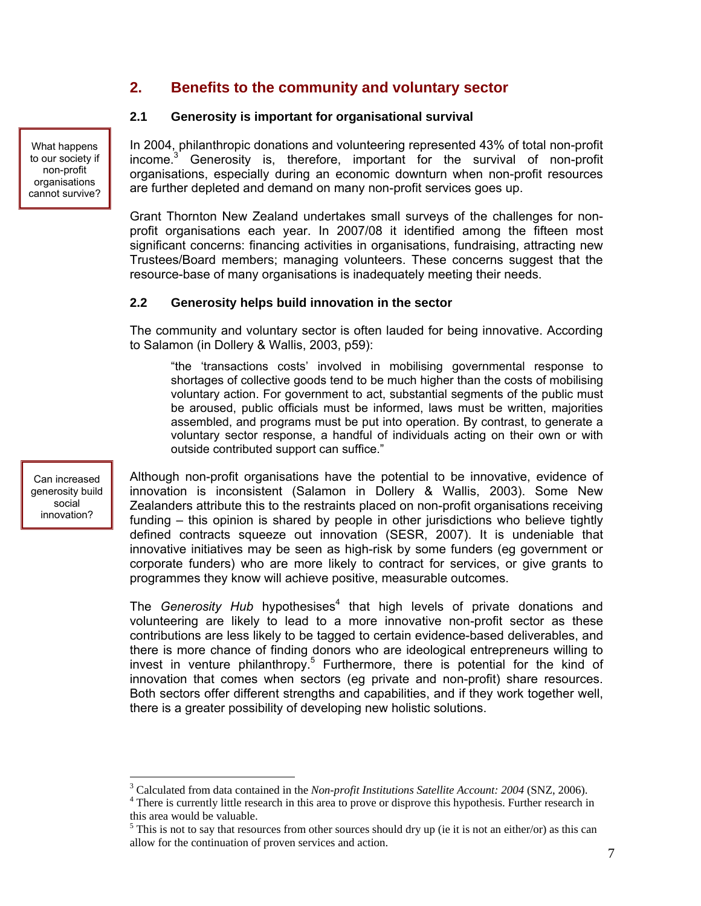### **2. Benefits to the community and voluntary sector**

### **2.1 Generosity is important for organisational survival**

In 2004, philanthropic donations and volunteering represented 43% of total non-profit income.<sup>3</sup> Generosity is, therefore, important for the survival of non-profit organisations, especially during an economic downturn when non-profit resources are further depleted and demand on many non-profit services goes up.

Grant Thornton New Zealand undertakes small surveys of the challenges for nonprofit organisations each year. In 2007/08 it identified among the fifteen most significant concerns: financing activities in organisations, fundraising, attracting new Trustees/Board members; managing volunteers. These concerns suggest that the resource-base of many organisations is inadequately meeting their needs.

### **2.2 Generosity helps build innovation in the sector**

The community and voluntary sector is often lauded for being innovative. According to Salamon (in Dollery & Wallis, 2003, p59):

"the 'transactions costs' involved in mobilising governmental response to shortages of collective goods tend to be much higher than the costs of mobilising voluntary action. For government to act, substantial segments of the public must be aroused, public officials must be informed, laws must be written, majorities assembled, and programs must be put into operation. By contrast, to generate a voluntary sector response, a handful of individuals acting on their own or with outside contributed support can suffice."

Although non-profit organisations have the potential to be innovative, evidence of innovation is inconsistent (Salamon in Dollery & Wallis, 2003). Some New Zealanders attribute this to the restraints placed on non-profit organisations receiving funding – this opinion is shared by people in other jurisdictions who believe tightly defined contracts squeeze out innovation (SESR, 2007). It is undeniable that innovative initiatives may be seen as high-risk by some funders (eg government or corporate funders) who are more likely to contract for services, or give grants to programmes they know will achieve positive, measurable outcomes.

The *Generosity Hub* hypothesises<sup>4</sup> that high levels of private donations and volunteering are likely to lead to a more innovative non-profit sector as these contributions are less likely to be tagged to certain evidence-based deliverables, and there is more chance of finding donors who are ideological entrepreneurs willing to invest in venture philanthropy.<sup>5</sup> Furthermore, there is potential for the kind of innovation that comes when sectors (eg private and non-profit) share resources. Both sectors offer different strengths and capabilities, and if they work together well, there is a greater possibility of developing new holistic solutions.

What happens to our society if non-profit organisations cannot survive?

Can increased generosity build social innovation?

 $\overline{a}$ 

<sup>&</sup>lt;sup>3</sup> Calculated from data contained in the *Non-profit Institutions Satellite Account: 2004* (SNZ, 2006).

<sup>&</sup>lt;sup>4</sup> There is currently little research in this area to prove or disprove this hypothesis. Further research in this area would be valuable.

 $<sup>5</sup>$  This is not to say that resources from other sources should dry up (ie it is not an either/or) as this can</sup> allow for the continuation of proven services and action.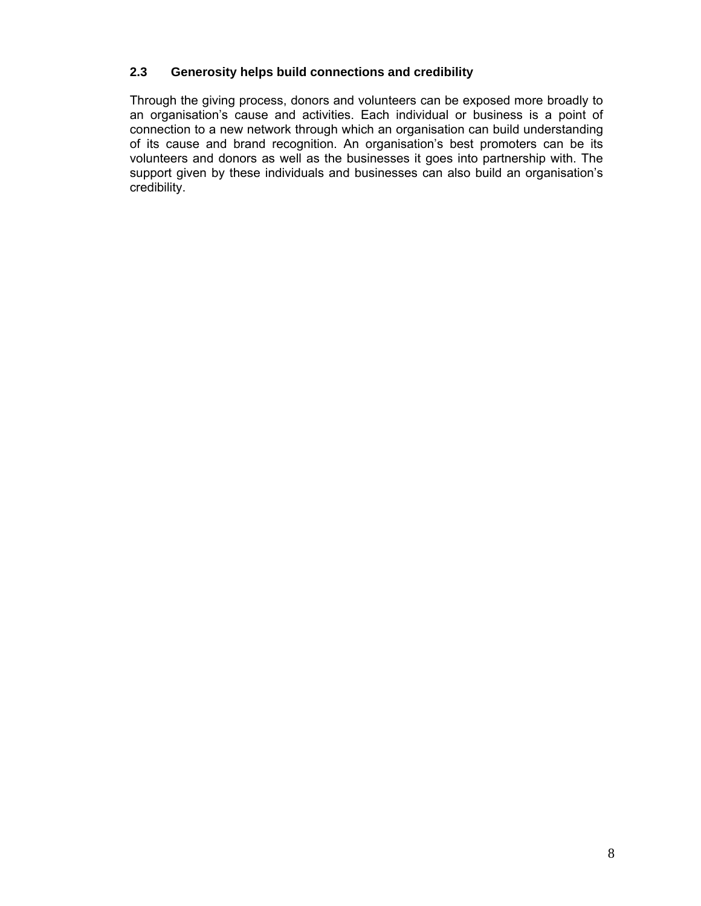### **2.3 Generosity helps build connections and credibility**

Through the giving process, donors and volunteers can be exposed more broadly to an organisation's cause and activities. Each individual or business is a point of connection to a new network through which an organisation can build understanding of its cause and brand recognition. An organisation's best promoters can be its volunteers and donors as well as the businesses it goes into partnership with. The support given by these individuals and businesses can also build an organisation's credibility.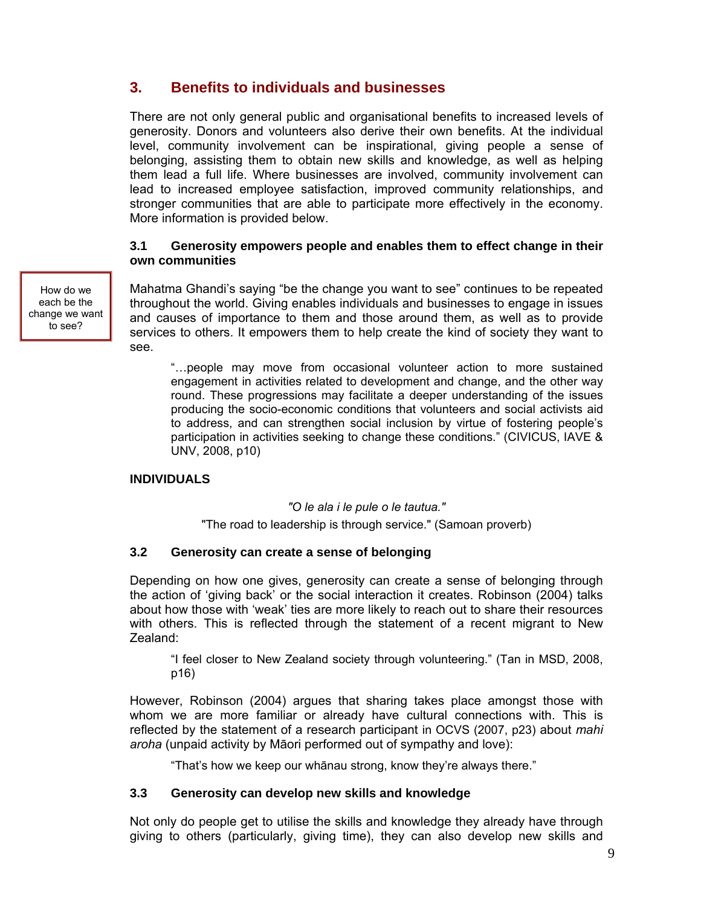### **3. Benefits to individuals and businesses**

There are not only general public and organisational benefits to increased levels of generosity. Donors and volunteers also derive their own benefits. At the individual level, community involvement can be inspirational, giving people a sense of belonging, assisting them to obtain new skills and knowledge, as well as helping them lead a full life. Where businesses are involved, community involvement can lead to increased employee satisfaction, improved community relationships, and stronger communities that are able to participate more effectively in the economy. More information is provided below.

### **3.1 Generosity empowers people and enables them to effect change in their own communities**

Mahatma Ghandi's saying "be the change you want to see" continues to be repeated throughout the world. Giving enables individuals and businesses to engage in issues and causes of importance to them and those around them, as well as to provide services to others. It empowers them to help create the kind of society they want to see.

"…people may move from occasional volunteer action to more sustained engagement in activities related to development and change, and the other way round. These progressions may facilitate a deeper understanding of the issues producing the socio-economic conditions that volunteers and social activists aid to address, and can strengthen social inclusion by virtue of fostering people's participation in activities seeking to change these conditions." (CIVICUS, IAVE & UNV, 2008, p10)

### **INDIVIDUALS**

*"O le ala i le pule o le tautua."* 

"The road to leadership is through service." (Samoan proverb)

### **3.2 Generosity can create a sense of belonging**

Depending on how one gives, generosity can create a sense of belonging through the action of 'giving back' or the social interaction it creates. Robinson (2004) talks about how those with 'weak' ties are more likely to reach out to share their resources with others. This is reflected through the statement of a recent migrant to New Zealand:

"I feel closer to New Zealand society through volunteering." (Tan in MSD, 2008, p16)

However, Robinson (2004) argues that sharing takes place amongst those with whom we are more familiar or already have cultural connections with. This is reflected by the statement of a research participant in OCVS (2007, p23) about *mahi aroha* (unpaid activity by Māori performed out of sympathy and love):

"That's how we keep our whānau strong, know they're always there."

### **3.3 Generosity can develop new skills and knowledge**

Not only do people get to utilise the skills and knowledge they already have through giving to others (particularly, giving time), they can also develop new skills and

How do we each be the change we want to see?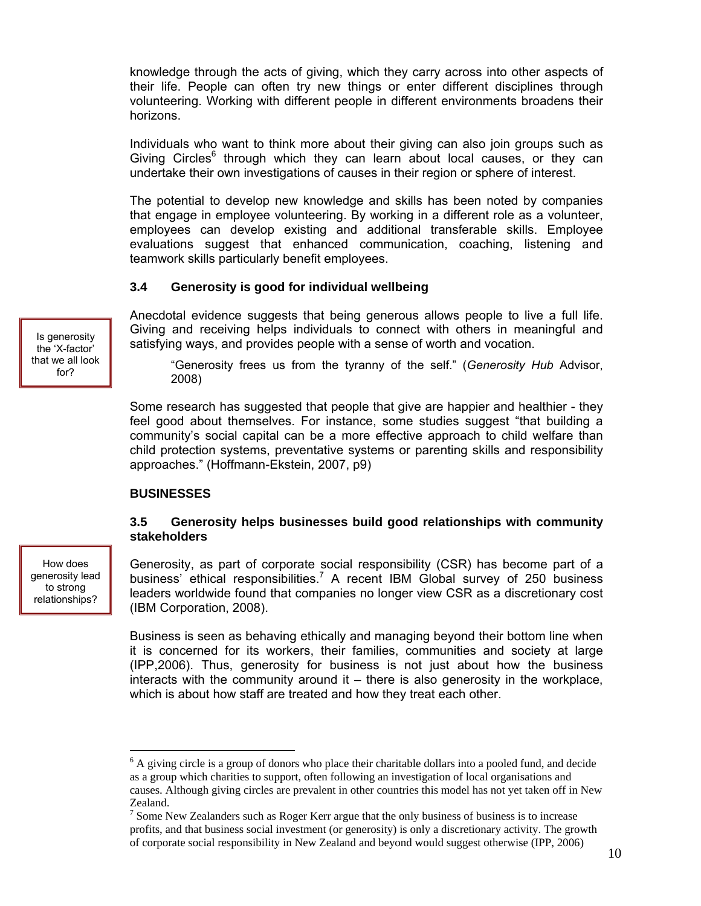knowledge through the acts of giving, which they carry across into other aspects of their life. People can often try new things or enter different disciplines through volunteering. Working with different people in different environments broadens their horizons.

Individuals who want to think more about their giving can also join groups such as Giving Circles<sup>6</sup> through which they can learn about local causes, or they can undertake their own investigations of causes in their region or sphere of interest.

The potential to develop new knowledge and skills has been noted by companies that engage in employee volunteering. By working in a different role as a volunteer, employees can develop existing and additional transferable skills. Employee evaluations suggest that enhanced communication, coaching, listening and teamwork skills particularly benefit employees.

### **3.4 Generosity is good for individual wellbeing**

Anecdotal evidence suggests that being generous allows people to live a full life. Giving and receiving helps individuals to connect with others in meaningful and satisfying ways, and provides people with a sense of worth and vocation.

"Generosity frees us from the tyranny of the self." (*Generosity Hub* Advisor, 2008)

Some research has suggested that people that give are happier and healthier - they feel good about themselves. For instance, some studies suggest "that building a community's social capital can be a more effective approach to child welfare than child protection systems, preventative systems or parenting skills and responsibility approaches." (Hoffmann-Ekstein, 2007, p9)

#### **BUSINESSES**

 $\overline{a}$ 

#### **3.5 Generosity helps businesses build good relationships with community stakeholders**

Generosity, as part of corporate social responsibility (CSR) has become part of a business' ethical responsibilities.<sup>7</sup> A recent IBM Global survey of 250 business leaders worldwide found that companies no longer view CSR as a discretionary cost (IBM Corporation, 2008).

Business is seen as behaving ethically and managing beyond their bottom line when it is concerned for its workers, their families, communities and society at large (IPP,2006). Thus, generosity for business is not just about how the business interacts with the community around it  $-$  there is also generosity in the workplace, which is about how staff are treated and how they treat each other.

Is generosity the 'X-factor' that we all look for?

How does generosity lead to strong relationships?

<sup>&</sup>lt;sup>6</sup> A giving circle is a group of donors who place their charitable dollars into a pooled fund, and decide as a group which charities to support, often following an investigation of local organisations and causes. Although giving circles are prevalent in other countries this model has not yet taken off in New Zealand.

 $<sup>7</sup>$  Some New Zealanders such as Roger Kerr argue that the only business of business is to increase</sup> profits, and that business social investment (or generosity) is only a discretionary activity. The growth of corporate social responsibility in New Zealand and beyond would suggest otherwise (IPP, 2006)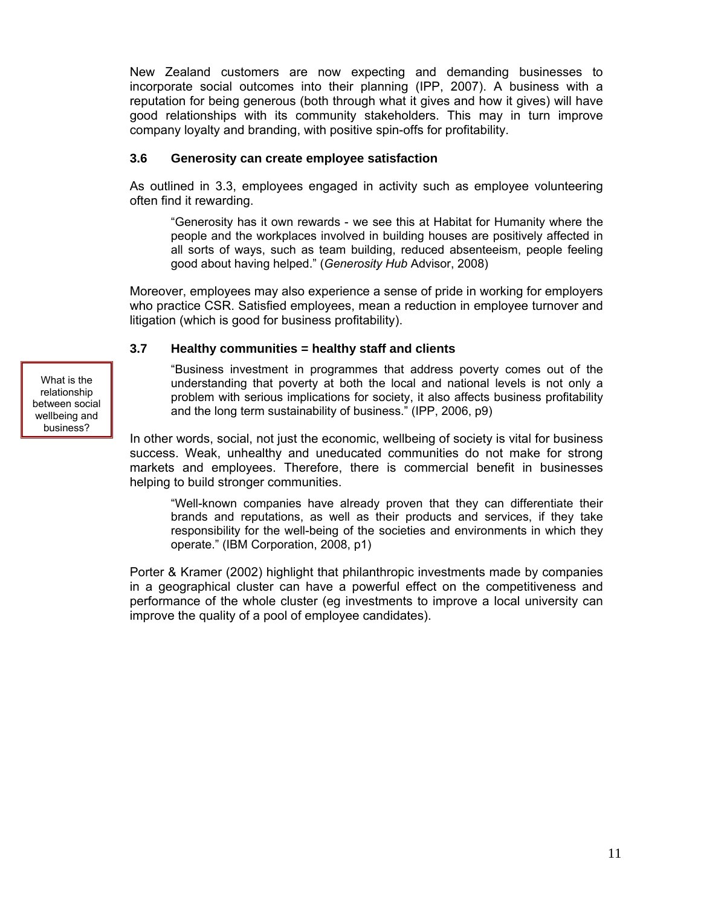New Zealand customers are now expecting and demanding businesses to incorporate social outcomes into their planning (IPP, 2007). A business with a reputation for being generous (both through what it gives and how it gives) will have good relationships with its community stakeholders. This may in turn improve company loyalty and branding, with positive spin-offs for profitability.

### **3.6 Generosity can create employee satisfaction**

As outlined in 3.3, employees engaged in activity such as employee volunteering often find it rewarding.

"Generosity has it own rewards - we see this at Habitat for Humanity where the people and the workplaces involved in building houses are positively affected in all sorts of ways, such as team building, reduced absenteeism, people feeling good about having helped." (*Generosity Hub* Advisor, 2008)

Moreover, employees may also experience a sense of pride in working for employers who practice CSR. Satisfied employees, mean a reduction in employee turnover and litigation (which is good for business profitability).

### **3.7 Healthy communities = healthy staff and clients**

"Business investment in programmes that address poverty comes out of the understanding that poverty at both the local and national levels is not only a problem with serious implications for society, it also affects business profitability and the long term sustainability of business." (IPP, 2006, p9)

In other words, social, not just the economic, wellbeing of society is vital for business success. Weak, unhealthy and uneducated communities do not make for strong markets and employees. Therefore, there is commercial benefit in businesses helping to build stronger communities.

"Well-known companies have already proven that they can differentiate their brands and reputations, as well as their products and services, if they take responsibility for the well-being of the societies and environments in which they operate." (IBM Corporation, 2008, p1)

Porter & Kramer (2002) highlight that philanthropic investments made by companies in a geographical cluster can have a powerful effect on the competitiveness and performance of the whole cluster (eg investments to improve a local university can improve the quality of a pool of employee candidates).

What is the relationship between social wellbeing and business?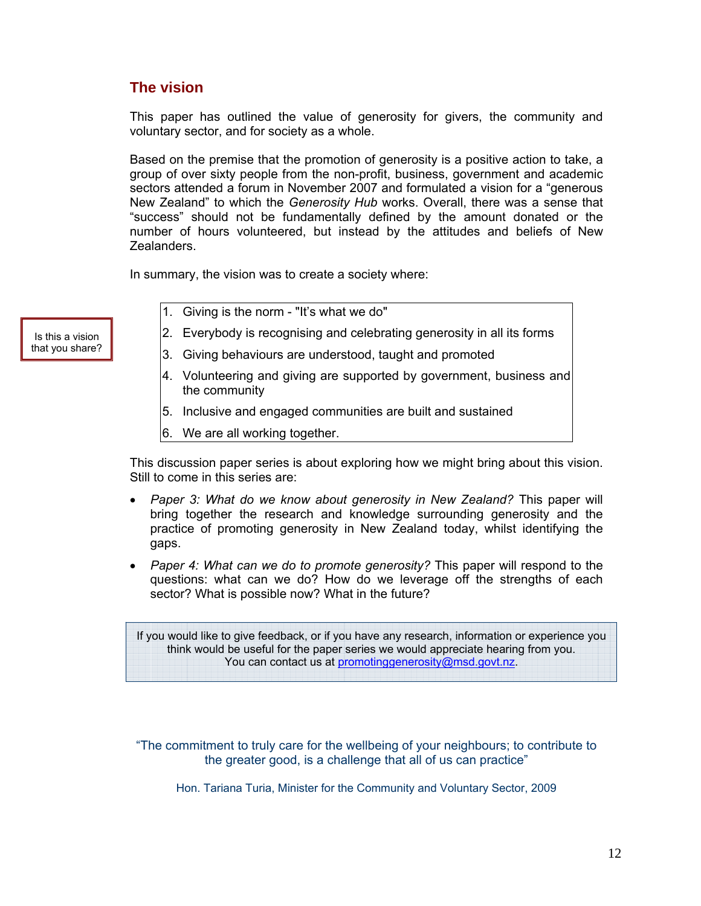### **The vision**

This paper has outlined the value of generosity for givers, the community and voluntary sector, and for society as a whole.

Based on the premise that the promotion of generosity is a positive action to take, a group of over sixty people from the non-profit, business, government and academic sectors attended a forum in November 2007 and formulated a vision for a "generous New Zealand" to which the *Generosity Hub* works. Overall, there was a sense that "success" should not be fundamentally defined by the amount donated or the number of hours volunteered, but instead by the attitudes and beliefs of New Zealanders.

In summary, the vision was to create a society where:

- 1. Giving is the norm "It's what we do"
- 2. Everybody is recognising and celebrating generosity in all its forms
- 3. Giving behaviours are understood, taught and promoted
- 4. Volunteering and giving are supported by government, business and the community
- 5. Inclusive and engaged communities are built and sustained
- 6. We are all working together.

This discussion paper series is about exploring how we might bring about this vision. Still to come in this series are:

- *Paper 3: What do we know about generosity in New Zealand?* This paper will bring together the research and knowledge surrounding generosity and the practice of promoting generosity in New Zealand today, whilst identifying the gaps.
- *Paper 4: What can we do to promote generosity?* This paper will respond to the questions: what can we do? How do we leverage off the strengths of each sector? What is possible now? What in the future?

If you would like to give feedback, or if you have any research, information or experience you think would be useful for the paper series we would appreciate hearing from you. You can contact us at promotinggenerosity@msd.govt.nz.

"The commitment to truly care for the wellbeing of your neighbours; to contribute to the greater good, is a challenge that all of us can practice"

Hon. Tariana Turia, Minister for the Community and Voluntary Sector, 2009

Is this a vision that you share?